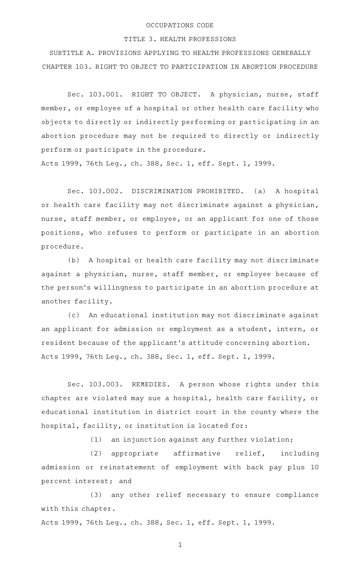## OCCUPATIONS CODE

## TITLE 3. HEALTH PROFESSIONS

SUBTITLE A. PROVISIONS APPLYING TO HEALTH PROFESSIONS GENERALLY CHAPTER 103. RIGHT TO OBJECT TO PARTICIPATION IN ABORTION PROCEDURE

Sec. 103.001. RIGHT TO OBJECT. A physician, nurse, staff member, or employee of a hospital or other health care facility who objects to directly or indirectly performing or participating in an abortion procedure may not be required to directly or indirectly perform or participate in the procedure.

Acts 1999, 76th Leg., ch. 388, Sec. 1, eff. Sept. 1, 1999.

Sec. 103.002. DISCRIMINATION PROHIBITED. (a) A hospital or health care facility may not discriminate against a physician, nurse, staff member, or employee, or an applicant for one of those positions, who refuses to perform or participate in an abortion procedure.

(b) A hospital or health care facility may not discriminate against a physician, nurse, staff member, or employee because of the person 's willingness to participate in an abortion procedure at another facility.

(c) An educational institution may not discriminate against an applicant for admission or employment as a student, intern, or resident because of the applicant 's attitude concerning abortion. Acts 1999, 76th Leg., ch. 388, Sec. 1, eff. Sept. 1, 1999.

Sec. 103.003. REMEDIES. A person whose rights under this chapter are violated may sue a hospital, health care facility, or educational institution in district court in the county where the hospital, facility, or institution is located for:

 $(1)$  an injunction against any further violation;

(2) appropriate affirmative relief, including admission or reinstatement of employment with back pay plus 10 percent interest; and

(3) any other relief necessary to ensure compliance with this chapter.

Acts 1999, 76th Leg., ch. 388, Sec. 1, eff. Sept. 1, 1999.

1